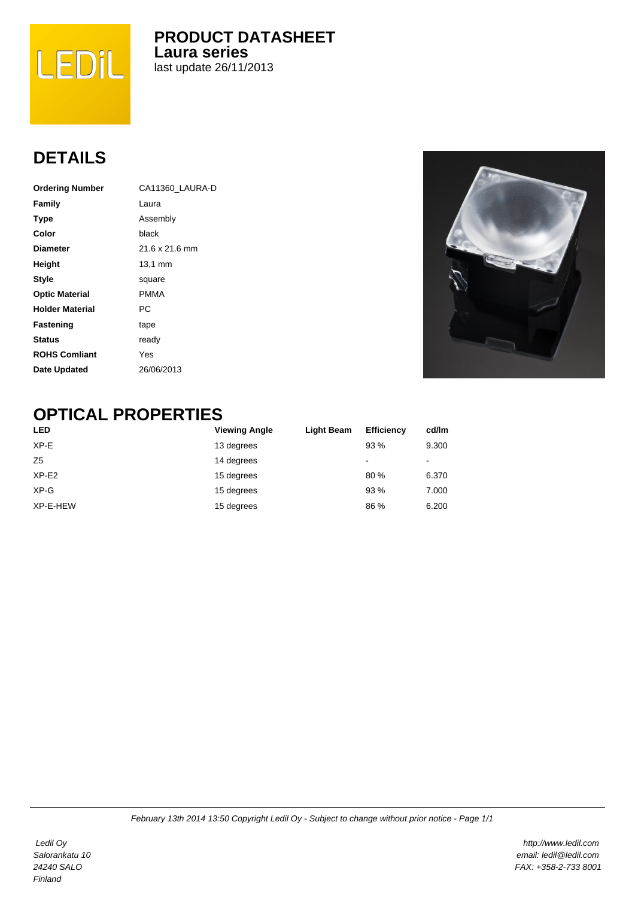

**PRODUCT DATASHEET Laura series** last update 26/11/2013

## **DETAILS**

| <b>Ordering Number</b> | CA11360 LAURA-D |  |  |
|------------------------|-----------------|--|--|
| Family                 | Laura           |  |  |
| <b>Type</b>            | Assembly        |  |  |
| Color                  | black           |  |  |
| <b>Diameter</b>        | 21.6 x 21.6 mm  |  |  |
| Height                 | 13,1 mm         |  |  |
| <b>Style</b>           | square          |  |  |
| <b>Optic Material</b>  | <b>PMMA</b>     |  |  |
| <b>Holder Material</b> | РC              |  |  |
| Fastening              | tape            |  |  |
| <b>Status</b>          | ready           |  |  |
| <b>ROHS Comliant</b>   | Yes             |  |  |
| Date Updated           | 26/06/2013      |  |  |



## **OPTICAL PROPERTIES**

| <b>LED</b>     | <b>Viewing Angle</b> | Light Beam | <b>Efficiency</b> | cd/lm |
|----------------|----------------------|------------|-------------------|-------|
| $XP-E$         | 13 degrees           |            | 93%               | 9.300 |
| Z <sub>5</sub> | 14 degrees           |            | $\,$              | $\,$  |
| $XP-E2$        | 15 degrees           |            | 80%               | 6.370 |
| $XP-G$         | 15 degrees           |            | 93 %              | 7.000 |
| XP-E-HEW       | 15 degrees           |            | 86 %              | 6.200 |

 Ledil Oy Salorankatu 10 24240 SALO Finland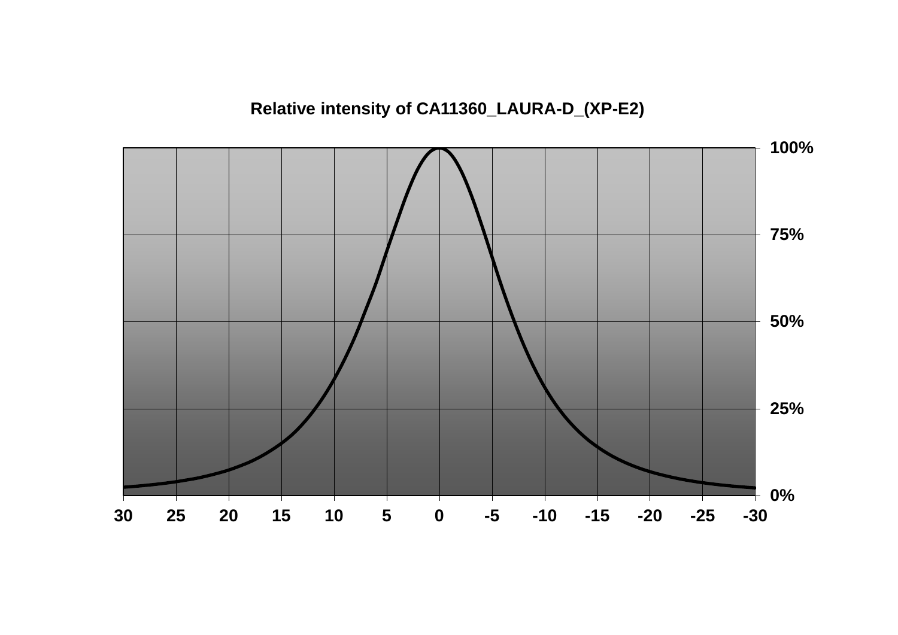**Relative intensity of CA11360\_LAURA-D\_(XP-E2)** 

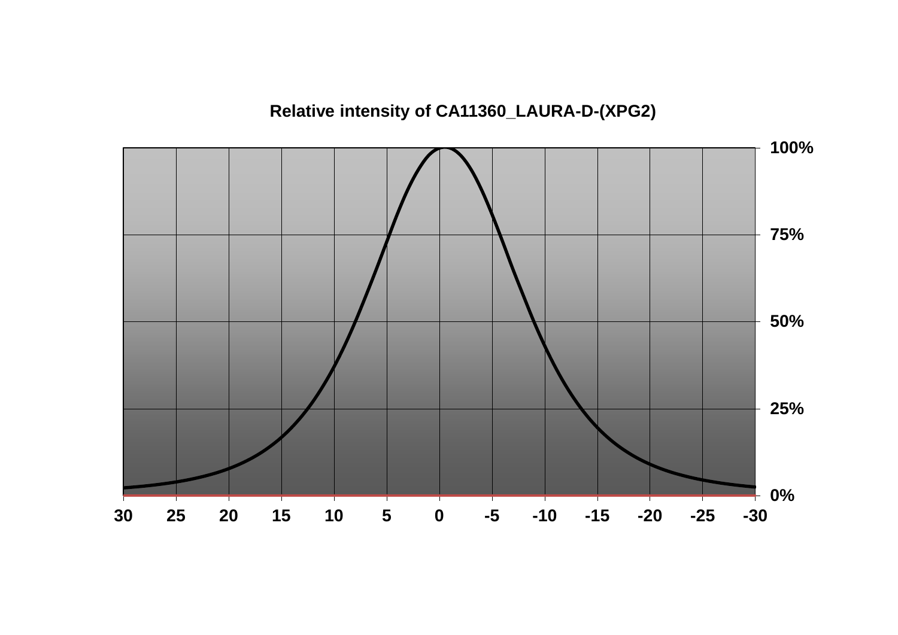**Relative intensity of CA11360\_LAURA-D-(XPG2)** 

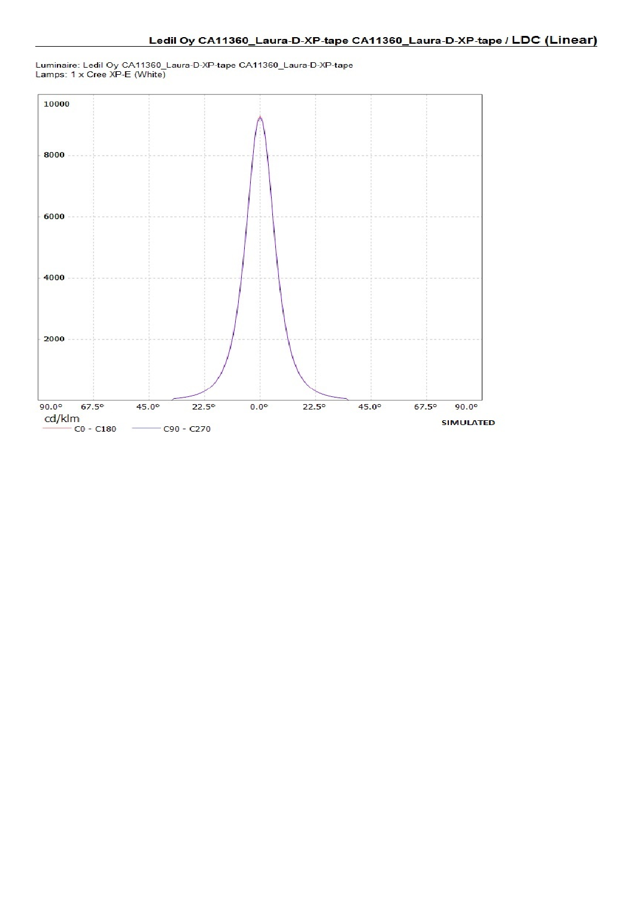Luminaire: Ledil Oy CA11360\_Laura-D-XP-tape CA11360\_Laura-D-XP-tape<br>Lamps: 1 x Cree XP-E (White)

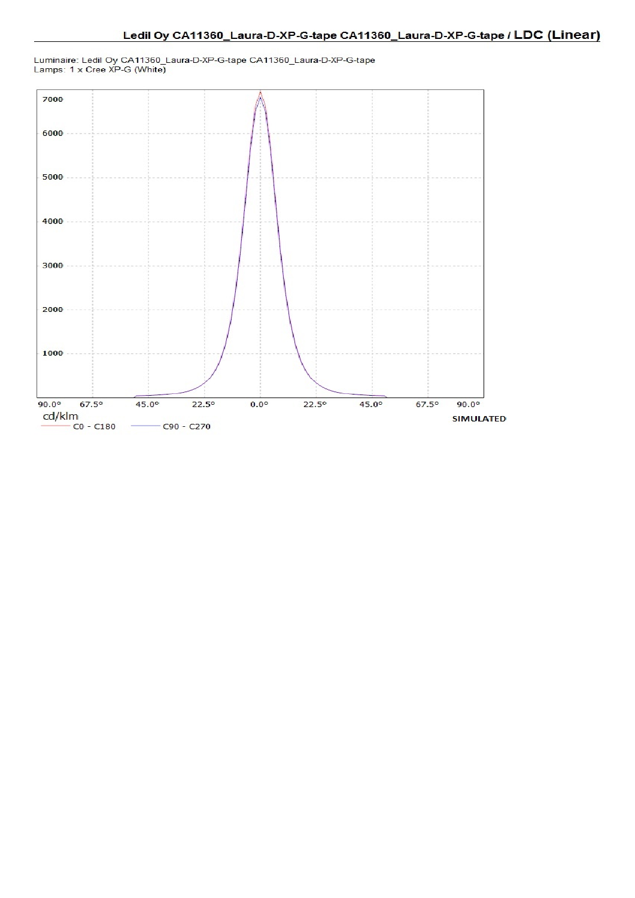Luminaire: Ledil Oy CA11360\_Laura-D-XP-G-tape CA11360\_Laura-D-XP-G-tape<br>Lamps: 1 x Cree XP-G (White)

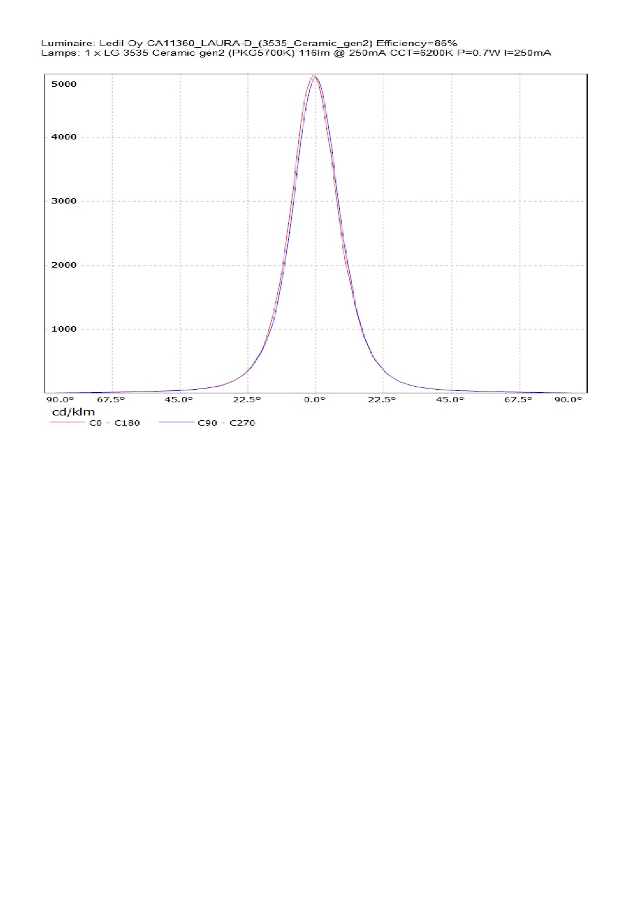

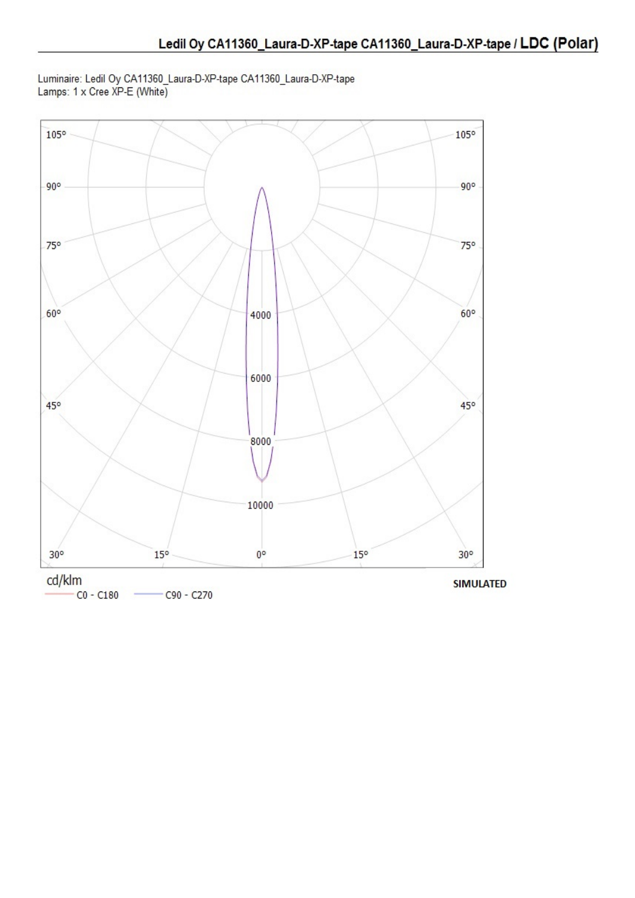Luminaire: Ledil Oy CA11360\_Laura-D-XP-tape CA11360\_Laura-D-XP-tape<br>Lamps: 1 x Cree XP-E (White)

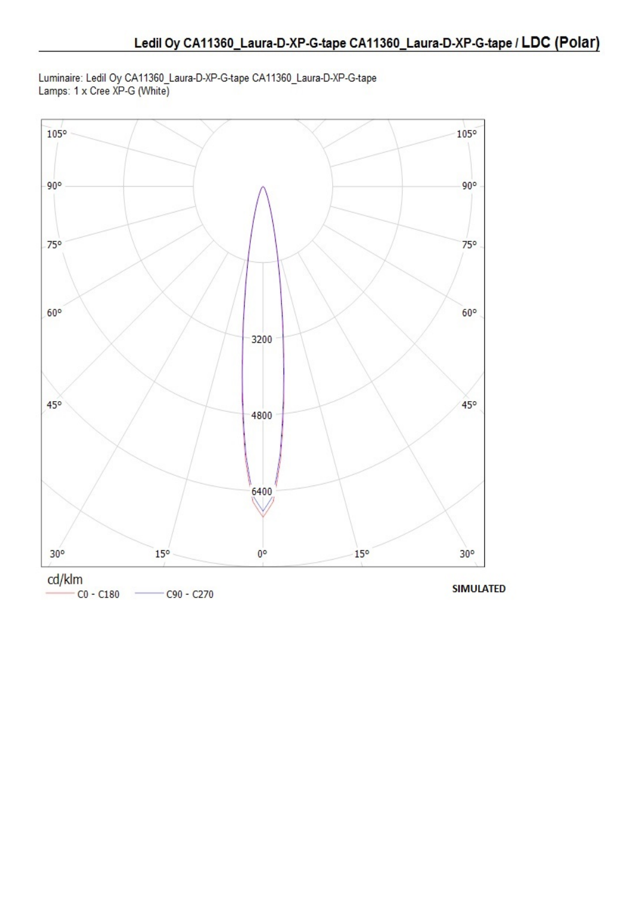Luminaire: Ledil Oy CA11360\_Laura-D-XP-G-tape CA11360\_Laura-D-XP-G-tape<br>Lamps: 1 x Cree XP-G (White)

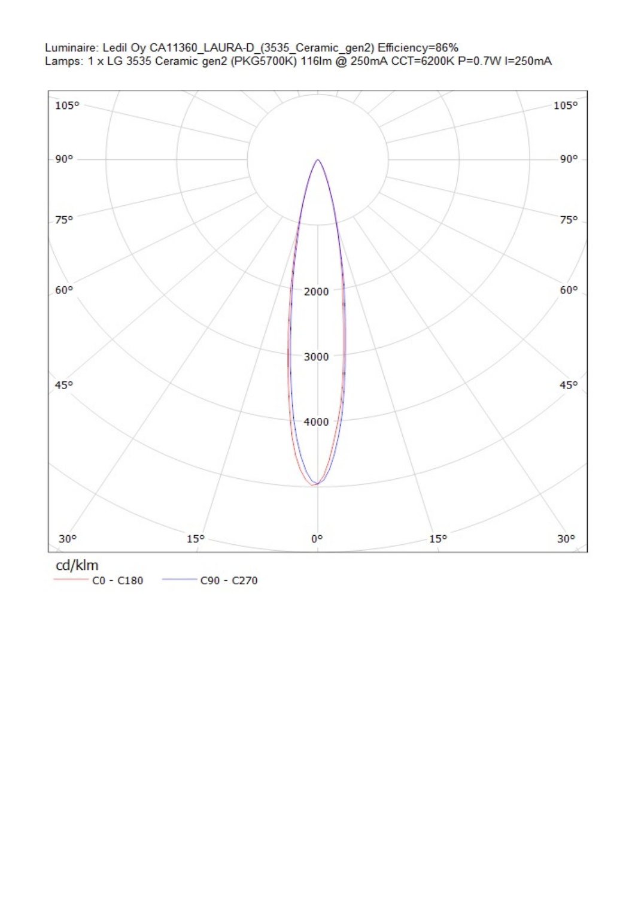

 $CO - C180$  $C90 - C270$